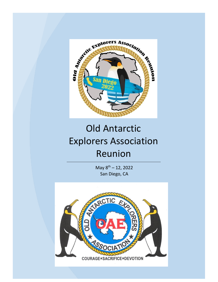

## Old Antarctic Explorers Association Reunion

May  $8^{th}$  – 12, 2022 San Diego, CA

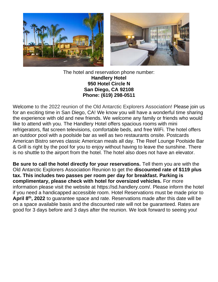

The hotel and reservation phone number: **Handlery Hotel 950 Hotel Circle N San Diego, CA 92108 Phone: (619) 298-0511**

Welcome to the 2022 reunion of the Old Antarctic Explorers Association! Please join us for an exciting time in San Diego, CA! We know you will have a wonderful time sharing the experience with old and new friends. We welcome any family or friends who would like to attend with you. The Handlery Hotel offers spacious rooms with mini refrigerators, flat screen televisions, comfortable beds, and free WiFi. The hotel offers an outdoor pool with a poolside bar as well as two restaurants onsite. Postcards American Bistro serves classic American meals all day. The Reef Lounge Poolside Bar & Grill is right by the pool for you to enjoy without having to leave the sunshine. There is no shuttle to the airport from the hotel. The hotel also does not have an elevator.

**Be sure to call the hotel directly for your reservations.** Tell them you are with the Old Antarctic Explorers Association Reunion to get the **discounted rate of \$119 plus tax. This includes two passes per room per day for breakfast. Parking is complimentary, please check with hotel for oversized vehicles.** For more information please visit the website at https://sd.handlery.com/. Please inform the hotel if you need a handicapped accessible room. Hotel Reservations must be made prior to **April 8th, 2022** to guarantee space and rate. Reservations made after this date will be on a space available basis and the discounted rate will not be guaranteed. Rates are good for 3 days before and 3 days after the reunion. We look forward to seeing you!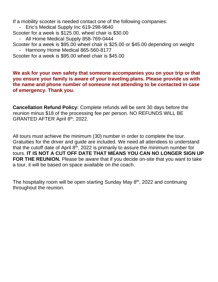If a mobility scooter is needed contact one of the following companies:

- Eric's Medical Supply Inc 619-298-9640
- Scooter for a week is \$125.00, wheel chair is \$30.00
	- All Home Medical Supply 858-769-0444
- Scooter for a week is \$95.00 wheel chair is \$25.00 or \$45.00 depending on weight
- Harmony Home Medical 865-560-8177

Scooter for a week is \$95.00 wheel chair is \$45.00

### **We ask for your own safety that someone accompanies you on your trip or that you ensure your family is aware of your traveling plans. Please provide us with the name and phone number of someone not attending to be contacted in case of emergency. Thank you.**

**Cancellation Refund Policy:** Complete refunds will be sent 30 days before the reunion minus \$18 of the processing fee per person. NO REFUNDS WILL BE GRANTED AFTER April 8th, 2022.

All tours must achieve the minimum (30) number in order to complete the tour. Gratuities for the driver and guide are included. We need all attendees to understand that the cutoff date of April  $8<sup>th</sup>$ , 2022 is primarily to assure the minimum number for tours. **IT IS NOT A CUT OFF DATE THAT MEANS YOU CAN NO LONGER SIGN UP FOR THE REUNION.** Please be aware that if you decide on-site that you want to take a tour, it will be based on space available on the coach.

The hospitality room will be open starting Sunday May  $8<sup>th</sup>$ , 2022 and continuing throughout the reunion.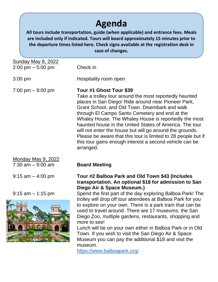## **Agenda**

**All tours include transportation, guide (when applicable) and entrance fees. Meals are included only if indicated. Tours will board approximately 15 minutes prior to the departure times listed here. Check signs available at the registration desk in case of changes.**

| <b>Sunday May 8, 2022</b><br>$2:00 \text{ pm} - 5:00 \text{ pm}$ | Check in                                                                                                                                                                                                                                                                                                                                                                                                                                                                                                                                                              |
|------------------------------------------------------------------|-----------------------------------------------------------------------------------------------------------------------------------------------------------------------------------------------------------------------------------------------------------------------------------------------------------------------------------------------------------------------------------------------------------------------------------------------------------------------------------------------------------------------------------------------------------------------|
| $3:00$ pm                                                        | Hospitality room open                                                                                                                                                                                                                                                                                                                                                                                                                                                                                                                                                 |
| $7:00 \text{ pm} - 9:00 \text{ pm}$                              | Tour #1 Ghost Tour \$39<br>Take a trolley tour around the most reportedly haunted<br>places in San Diego! Ride around near Pioneer Park,<br>Grant School, and Old Town. Disembark and walk<br>through El Campo Santo Cemetery and end at the<br>Whaley House. The Whaley House is reportedly the most<br>haunted house in the United States of America. The tour<br>will not enter the house but will go around the grounds.<br>Please be aware that this tour is limited to 28 people but if<br>this tour gains enough interest a second vehicle can be<br>arranged. |
| <b>Monday May 9, 2022</b><br>$7:30$ am $-9:00$ am                | <b>Board Meeting</b>                                                                                                                                                                                                                                                                                                                                                                                                                                                                                                                                                  |
| $9:15$ am $-4:00$ pm                                             | Tour #2 Balboa Park and Old Town \$43 (Includes<br>transportation. An optional \$18 for admission to San<br>Diego Air & Space Museum.)                                                                                                                                                                                                                                                                                                                                                                                                                                |
| $9:15$ am $-1:15$ pm                                             | Spend the first part of the day exploring Balboa Park! The<br>trolley will drop off tour attendees at Balboa Park for you<br>to explore on your own. There is a park tram that can be<br>used to travel around. There are 17 museums, the San<br>Diego Zoo, multiple gardens, restaurants, shopping and<br>more to see!<br>Lunch will be on your own either in Balboa Park or in Old<br>Town. If you wish to visit the San Diego Air & Space<br>Museum you can pay the additional \$18 and visit the<br>museum.<br>https://www.balboapark.org/                        |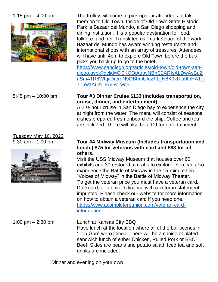

# Tuesday May 10, 2022



1:15 pm – 4:00 pm The trolley will come to pick up tour attendees to take them on to Old Town. Inside of Old Town State Historic Park is Bazaar del Mundo, a San Diego shopping and dining institution. It is a popular destination for food, folklore, and fun! Translated as "marketplace of the world" Bazaar del Mundo has award winning restaurants and international shops with an array of treasures. Attendees will have until 4pm to explore Old Town before the bus picks you back up to go to the hotel.

[https://www.sandiego.org/articles/old-town/old-town-san](https://www.sandiego.org/articles/old-town/old-town-san-diego.aspx?gclid=Cj0KCQiAqbyNBhC2ARIsALDwAsBpZnSm4TR8WtqilDrcrgN9QBhmUIqzT1_N8K9xUla0fbHA1_j7_5waAum_EALw_wcB)[diego.aspx?gclid=Cj0KCQiAqbyNBhC2ARIsALDwAsBpZ](https://www.sandiego.org/articles/old-town/old-town-san-diego.aspx?gclid=Cj0KCQiAqbyNBhC2ARIsALDwAsBpZnSm4TR8WtqilDrcrgN9QBhmUIqzT1_N8K9xUla0fbHA1_j7_5waAum_EALw_wcB) [nSm4TR8WtqilDrcrgN9QBhmUIqzT1\\_N8K9xUla0fbHA1\\_j](https://www.sandiego.org/articles/old-town/old-town-san-diego.aspx?gclid=Cj0KCQiAqbyNBhC2ARIsALDwAsBpZnSm4TR8WtqilDrcrgN9QBhmUIqzT1_N8K9xUla0fbHA1_j7_5waAum_EALw_wcB) [7\\_5waAum\\_EALw\\_wcB](https://www.sandiego.org/articles/old-town/old-town-san-diego.aspx?gclid=Cj0KCQiAqbyNBhC2ARIsALDwAsBpZnSm4TR8WtqilDrcrgN9QBhmUIqzT1_N8K9xUla0fbHA1_j7_5waAum_EALw_wcB)

### 5:45 pm – 10:00 pm **Tour #3 Dinner Cruise \$133 (Includes transportation, cruise, dinner, and entertainment)**

A 2 ½ hour cruise in San Diego bay to experience the city at night from the water. The menu will consist of seasonal dishes prepared fresh onboard the ship. Coffee and tea are included. There will also be a DJ for entertainment.

### 9:30 am – 1:00 pm **Tour #4 Midway Museum (Includes transportation and lunch.) \$75 for veterans with card and \$83 for all others.**

Visit the USS Midway Museum that houses over 60 exhibits and 30 restored aircrafts to explore. You can also experience the Battle of Midway in the 15-minute film "Voices of Midway" in the Battle of Midway Theater. To get the veteran price you must have a veteran card, DoD card, or a driver's license with a veteran statement imprinted. Please check our website for more information on how to obtain a veteran card if you need one. [https://www.acompletereunion.com/veteran-card](https://www.acompletereunion.com/veteran-card-information)[information](https://www.acompletereunion.com/veteran-card-information)

1:00 pm – 2:30 pm Lunch at Kansas City BBQ Have lunch at the location where all of the bar scenes in "Top Gun" were filmed! There will be a choice of plated sandwich lunch of either Chicken, Pulled Pork or BBQ Beef. Sides are beans and potato salad. Iced tea and soft drinks are included.

Dinner and evening on your own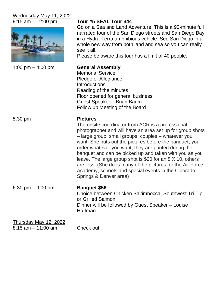## Wednesday May 11, 2022



| 1:00 pm $-$ 4:00 pm |  |  |
|---------------------|--|--|
|---------------------|--|--|

## 9:15 am – 12:00 pm **Tour #5 SEAL Tour \$44**

Go on a Sea and Land Adventure! This is a 90-minute full narrated tour of the San Diego streets and San Diego Bay in a Hydra-Terra amphibious vehicle. See San Diego in a whole new way from both land and sea so you can really see it all.

Please be aware this tour has a limit of 40 people.

**General Assembly** Memorial Service Pledge of Allegiance **Introductions** Reading of the minutes Floor opened for general business Guest Speaker – Brian Baum Follow up Meeting of the Board

### 5:30 pm **Pictures**

The onsite coordinator from ACR is a professional photographer and will have an area set up for group shots – large group, small groups, couples – whatever you want. She puts out the pictures before the banquet, you order whatever you want, they are printed during the banquet and can be picked up and taken with you as you leave. The large group shot is \$20 for an 8 X 10, others are less. (She does many of the pictures for the Air Force Academy, schools and special events in the Colorado Springs & Denver area)

6:30 pm – 9:00 pm **Banquet \$56**

Choice between Chicken Saltimbocca, Southwest Tri-Tip, or Grilled Salmon. Dinner will be followed by Guest Speaker – Louise Huffman

Thursday May 12, 2022 8:15 am – 11:00 am Check out